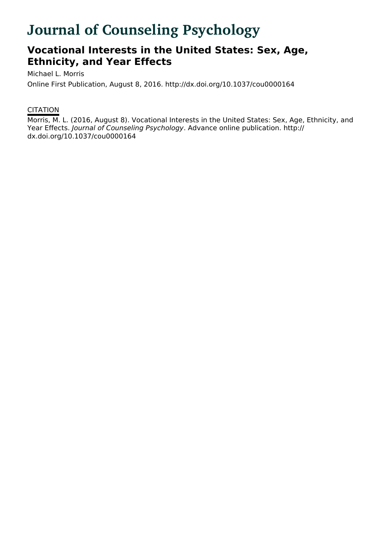# **Journal of Counseling Psychology**

## **Vocational Interests in the United States: Sex, Age, Ethnicity, and Year Effects**

Michael L. Morris

Online First Publication, August 8, 2016. http://dx.doi.org/10.1037/cou0000164

### **CITATION**

Morris, M. L. (2016, August 8). Vocational Interests in the United States: Sex, Age, Ethnicity, and Year Effects. Journal of Counseling Psychology. Advance online publication. http:// dx.doi.org/10.1037/cou0000164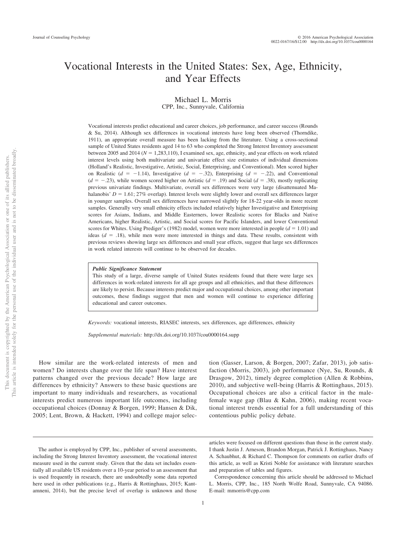### Vocational Interests in the United States: Sex, Age, Ethnicity, and Year Effects

Michael L. Morris CPP, Inc., Sunnyvale, California

Vocational interests predict educational and career choices, job performance, and career success (Rounds & Su, 2014). Although sex differences in vocational interests have long been observed (Thorndike, 1911), an appropriate overall measure has been lacking from the literature. Using a cross-sectional sample of United States residents aged 14 to 63 who completed the Strong Interest Inventory assessment between 2005 and 2014 (*N* - 1,283,110), I examined sex, age, ethnicity, and year effects on work related interest levels using both multivariate and univariate effect size estimates of individual dimensions (Holland's Realistic, Investigative, Artistic, Social, Enterprising, and Conventional). Men scored higher on Realistic ( $d = -1.14$ ), Investigative ( $d = -0.32$ ), Enterprising ( $d = -0.22$ ), and Conventional  $(d = -0.23)$ , while women scored higher on Artistic  $(d = 0.19)$  and Social  $(d = 0.38)$ , mostly replicating previous univariate findings. Multivariate, overall sex differences were very large (disattenuated Mahalanobis'  $D = 1.61$ ; 27% overlap). Interest levels were slightly lower and overall sex differences larger in younger samples. Overall sex differences have narrowed slightly for 18-22 year-olds in more recent samples. Generally very small ethnicity effects included relatively higher Investigative and Enterprising scores for Asians, Indians, and Middle Easterners, lower Realistic scores for Blacks and Native Americans, higher Realistic, Artistic, and Social scores for Pacific Islanders, and lower Conventional scores for Whites. Using Prediger's  $(1982)$  model, women were more interested in people  $(d = 1.01)$  and ideas  $(d = .18)$ , while men were more interested in things and data. These results, consistent with previous reviews showing large sex differences and small year effects, suggest that large sex differences in work related interests will continue to be observed for decades.

#### *Public Significance Statement*

This study of a large, diverse sample of United States residents found that there were large sex differences in work-related interests for all age groups and all ethnicities, and that these differences are likely to persist. Because interests predict major and occupational choices, among other important outcomes, these findings suggest that men and women will continue to experience differing educational and career outcomes.

*Keywords:* vocational interests, RIASEC interests, sex differences, age differences, ethnicity

*Supplemental materials:* http://dx.doi.org/10.1037/cou0000164.supp

How similar are the work-related interests of men and women? Do interests change over the life span? Have interest patterns changed over the previous decade? How large are differences by ethnicity? Answers to these basic questions are important to many individuals and researchers, as vocational interests predict numerous important life outcomes, including occupational choices (Donnay & Borgen, 1999; Hansen & Dik, 2005; Lent, Brown, & Hackett, 1994) and college major selection (Gasser, Larson, & Borgen, 2007; Zafar, 2013), job satisfaction (Morris, 2003), job performance (Nye, Su, Rounds, & Drasgow, 2012), timely degree completion (Allen & Robbins, 2010), and subjective well-being (Harris & Rottinghaus, 2015). Occupational choices are also a critical factor in the malefemale wage gap (Blau & Kahn, 2006), making recent vocational interest trends essential for a full understanding of this contentious public policy debate.

articles were focused on different questions than those in the current study. I thank Justin J. Arneson, Brandon Morgan, Patrick J. Rottinghaus, Nancy A. Schaubhut, & Richard C. Thompson for comments on earlier drafts of this article, as well as Kristi Noble for assistance with literature searches and preparation of tables and figures.

Correspondence concerning this article should be addressed to Michael L. Morris, CPP, Inc., 185 North Wolfe Road, Sunnyvale, CA 94086. E-mail: mmorris@cpp.com

The author is employed by CPP, Inc., publisher of several assessments, including the Strong Interest Inventory assessment, the vocational interest measure used in the current study. Given that the data set includes essentially all available US residents over a 10-year period to an assessment that is used frequently in research, there are undoubtedly some data reported here used in other publications (e.g., Harris & Rottinghaus, 2015; Kantamneni, 2014), but the precise level of overlap is unknown and those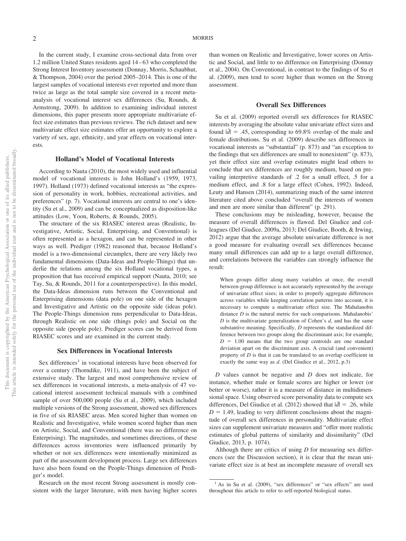In the current study, I examine cross-sectional data from over 1.2 million United States residents aged 14 – 63 who completed the Strong Interest Inventory assessment (Donnay, Morris, Schaubhut, & Thompson, 2004) over the period 2005–2014. This is one of the largest samples of vocational interests ever reported and more than twice as large as the total sample size covered in a recent metaanalysis of vocational interest sex differences (Su, Rounds, & Armstrong, 2009). In addition to examining individual interest dimensions, this paper presents more appropriate multivariate effect size estimates than previous reviews. The rich dataset and new multivariate effect size estimates offer an opportunity to explore a variety of sex, age, ethnicity, and year effects on vocational interests.

#### **Holland's Model of Vocational Interests**

According to Nauta (2010), the most widely used and influential model of vocational interests is John Holland's (1959, 1973, 1997). Holland (1973) defined vocational interests as "the expression of personality in work, hobbies, recreational activities, and preferences" (p. 7). Vocational interests are central to one's identity (Su et al., 2009) and can be conceptualized as disposition-like attitudes (Low, Yoon, Roberts, & Rounds, 2005).

The structure of the six RIASEC interest areas (Realistic, Investigative, Artistic, Social, Enterprising, and Conventional) is often represented as a hexagon, and can be represented in other ways as well. Prediger (1982) reasoned that, because Holland's model is a two-dimensional circumplex, there are very likely two fundamental dimensions (Data-Ideas and People-Things) that underlie the relations among the six Holland vocational types, a proposition that has received empirical support (Nauta, 2010; see Tay, Su, & Rounds, 2011 for a counterperspective). In this model, the Data-Ideas dimension runs between the Conventional and Enterprising dimensions (data pole) on one side of the hexagon and Investigative and Artistic on the opposite side (ideas pole). The People-Things dimension runs perpendicular to Data-Ideas, through Realistic on one side (things pole) and Social on the opposite side (people pole). Prediger scores can be derived from RIASEC scores and are examined in the current study.

#### **Sex Differences in Vocational Interests**

Sex differences<sup>1</sup> in vocational interests have been observed for over a century (Thorndike, 1911), and have been the subject of extensive study. The largest and most comprehensive review of sex differences in vocational interests, a meta-analysis of 47 vocational interest assessment technical manuals with a combined sample of over 500,000 people (Su et al., 2009), which included multiple versions of the Strong assessment, showed sex differences in five of six RIASEC areas. Men scored higher than women on Realistic and Investigative, while women scored higher than men on Artistic, Social, and Conventional (there was no difference on Enterprising). The magnitudes, and sometimes directions, of these differences across inventories were influenced primarily by whether or not sex differences were intentionally minimized as part of the assessment development process. Large sex differences have also been found on the People-Things dimension of Prediger's model.

Research on the most recent Strong assessment is mostly consistent with the larger literature, with men having higher scores than women on Realistic and Investigative, lower scores on Artistic and Social, and little to no difference on Enterprising (Donnay et al., 2004). On Conventional, in contrast to the findings of Su et al. (2009), men tend to score higher than women on the Strong assessment.

#### **Overall Sex Differences**

Su et al. (2009) reported overall sex differences for RIASEC interests by averaging the absolute value univariate effect sizes and found  $|\bar{d}| = .45$ , corresponding to 69.8% overlap of the male and female distributions. Su et al. (2009) describe sex differences in vocational interests as "substantial" (p. 873) and "an exception to the findings that sex differences are small to nonexistent" (p. 873), yet their effect size and overlap estimates might lead others to conclude that sex differences are roughly medium, based on prevailing interpretive standards of .2 for a small effect, .5 for a medium effect, and .8 for a large effect (Cohen, 1992). Indeed, Leuty and Hansen (2014), summarizing much of the same interest literature cited above concluded "overall the interests of women and men are more similar than different" (p. 291).

These conclusions may be misleading, however, because the measure of overall differences is flawed. Del Giudice and colleagues (Del Giudice, 2009a, 2013; Del Giudice, Booth, & Irwing, 2012) argue that the average absolute univariate difference is not a good measure for evaluating overall sex differences because many small differences can add up to a large overall difference, and correlations between the variables can strongly influence the result:

When groups differ along many variables at once, the overall between-group difference is not accurately represented by the average of univariate effect sizes; in order to properly aggregate differences across variables while keeping correlation patterns into account, it is necessary to compute a multivariate effect size. The Mahalanobis distance *D* is the natural metric for such comparisons. Mahalanobis' *D* is the multivariate generalization of Cohen's *d*, and has the same substantive meaning. Specifically, *D* represents the standardized difference between two groups along the discriminant axis; for example,  $D = 1.00$  means that the two group centroids are one standard deviation apart on the discriminant axis. A crucial (and convenient) property of *D* is that it can be translated to an overlap coefficient in exactly the same way as *d*. (Del Giudice et al., 2012, p.3)

*D* values cannot be negative and *D* does not indicate, for instance, whether male or female scores are higher or lower (or better or worse), rather it is a measure of distance in multidimensional space. Using observed score personality data to compute sex differences, Del Giudice et al. (2012) showed that  $|\bar{d}| = .26$ , while  $D = 1.49$ , leading to very different conclusions about the magnitude of overall sex differences in personality. Multivariate effect sizes can supplement univariate measures and "offer more realistic estimates of global patterns of similarity and dissimilarity" (Del Giudice, 2013, p. 1074).

Although there are critics of using *D* for measuring sex differences (see the Discussion section), it is clear that the mean univariate effect size is at best an incomplete measure of overall sex

<sup>&</sup>lt;sup>1</sup> As in Su et al. (2009), "sex differences" or "sex effects" are used throughout this article to refer to self-reported biological status.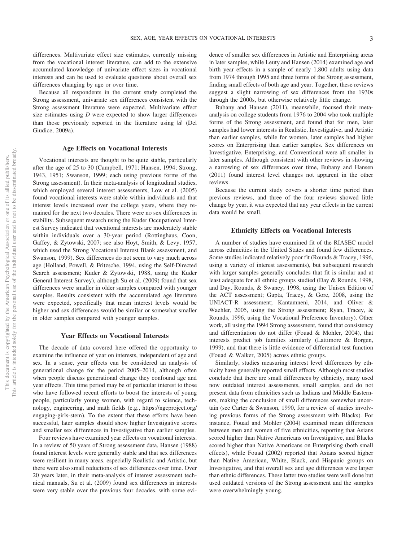differences. Multivariate effect size estimates, currently missing from the vocational interest literature, can add to the extensive accumulated knowledge of univariate effect sizes in vocational interests and can be used to evaluate questions about overall sex differences changing by age or over time.

Because all respondents in the current study completed the Strong assessment, univariate sex differences consistent with the Strong assessment literature were expected. Multivariate effect size estimates using *D* were expected to show larger differences than those previously reported in the literature using  $|\vec{d}|$  (Del Giudice, 2009a).

#### **Age Effects on Vocational Interests**

Vocational interests are thought to be quite stable, particularly after the age of 25 to 30 (Campbell, 1971; Hansen, 1994; Strong, 1943, 1951; Swanson, 1999; each using previous forms of the Strong assessment). In their meta-analysis of longitudinal studies, which employed several interest assessments, Low et al. (2005) found vocational interests were stable within individuals and that interest levels increased over the college years, where they remained for the next two decades. There were no sex differences in stability. Subsequent research using the Kuder Occupational Interest Survey indicated that vocational interests are moderately stable within individuals over a 30-year period (Rottinghaus, Coon, Gaffey, & Zytowski, 2007; see also Hoyt, Smith, & Levy, 1957, which used the Strong Vocational Interest Blank assessment, and Swanson, 1999). Sex differences do not seem to vary much across age (Holland, Powell, & Fritzsche, 1994, using the Self-Directed Search assessment; Kuder & Zytowski, 1988, using the Kuder General Interest Survey), although Su et al. (2009) found that sex differences were smaller in older samples compared with younger samples. Results consistent with the accumulated age literature were expected, specifically that mean interest levels would be higher and sex differences would be similar or somewhat smaller in older samples compared with younger samples.

#### **Year Effects on Vocational Interests**

The decade of data covered here offered the opportunity to examine the influence of year on interests, independent of age and sex. In a sense, year effects can be considered an analysis of generational change for the period 2005–2014, although often when people discuss generational change they confound age and year effects. This time period may be of particular interest to those who have followed recent efforts to boost the interests of young people, particularly young women, with regard to science, technology, engineering, and math fields (e.g., https://ngcproject.org/ engaging-girls-stem). To the extent that these efforts have been successful, later samples should show higher Investigative scores and smaller sex differences in Investigative than earlier samples.

Four reviews have examined year effects on vocational interests. In a review of 50 years of Strong assessment data, Hansen (1988) found interest levels were generally stable and that sex differences were resilient in many areas, especially Realistic and Artistic, but there were also small reductions of sex differences over time. Over 20 years later, in their meta-analysis of interest assessment technical manuals, Su et al. (2009) found sex differences in interests were very stable over the previous four decades, with some evidence of smaller sex differences in Artistic and Enterprising areas in later samples, while Leuty and Hansen (2014) examined age and birth year effects in a sample of nearly 1,800 adults using data from 1974 through 1995 and three forms of the Strong assessment, finding small effects of both age and year. Together, these reviews suggest a slight narrowing of sex differences from the 1930s through the 2000s, but otherwise relatively little change.

Bubany and Hansen (2011), meanwhile, focused their metaanalysis on college students from 1976 to 2004 who took multiple forms of the Strong assessment, and found that for men, later samples had lower interests in Realistic, Investigative, and Artistic than earlier samples, while for women, later samples had higher scores on Enterprising than earlier samples. Sex differences on Investigative, Enterprising, and Conventional were all smaller in later samples. Although consistent with other reviews in showing a narrowing of sex differences over time, Bubany and Hansen (2011) found interest level changes not apparent in the other reviews.

Because the current study covers a shorter time period than previous reviews, and three of the four reviews showed little change by year, it was expected that any year effects in the current data would be small.

#### **Ethnicity Effects on Vocational Interests**

A number of studies have examined fit of the RIASEC model across ethnicities in the United States and found few differences. Some studies indicated relatively poor fit (Rounds & Tracey, 1996, using a variety of interest assessments), but subsequent research with larger samples generally concludes that fit is similar and at least adequate for all ethnic groups studied (Day & Rounds, 1998, and Day, Rounds, & Swaney, 1998, using the Unisex Edition of the ACT assessment; Gupta, Tracey, & Gore, 2008, using the UNIACT-R assessment; Kantamneni, 2014, and Oliver & Waehler, 2005, using the Strong assessment; Ryan, Tracey, & Rounds, 1996, using the Vocational Preference Inventory). Other work, all using the 1994 Strong assessment, found that consistency and differentiation do not differ (Fouad & Mohler, 2004), that interests predict job families similarly (Lattimore & Borgen, 1999), and that there is little evidence of differential test function (Fouad & Walker, 2005) across ethnic groups.

Similarly, studies measuring interest level differences by ethnicity have generally reported small effects. Although most studies conclude that there are small differences by ethnicity, many used now outdated interest assessments, small samples, and do not present data from ethnicities such as Indians and Middle Easterners, making the conclusion of small differences somewhat uncertain (see Carter & Swanson, 1990, for a review of studies involving previous forms of the Strong assessment with Blacks). For instance, Fouad and Mohler (2004) examined mean differences between men and women of five ethnicities, reporting that Asians scored higher than Native Americans on Investigative, and Blacks scored higher than Native Americans on Enterprising (both small effects), while Fouad (2002) reported that Asians scored higher than Native American, White, Black, and Hispanic groups on Investigative, and that overall sex and age differences were larger than ethnic differences. These latter two studies were well done but used outdated versions of the Strong assessment and the samples were overwhelmingly young.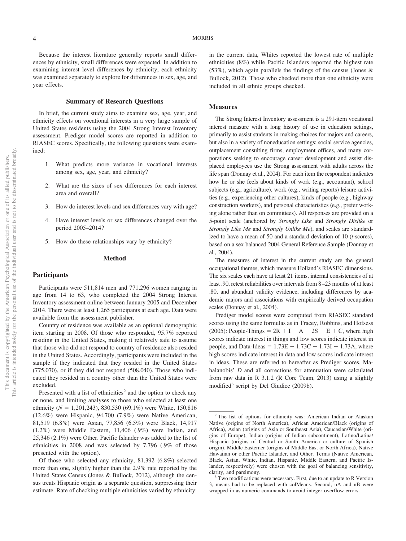Because the interest literature generally reports small differences by ethnicity, small differences were expected. In addition to examining interest level differences by ethnicity, each ethnicity was examined separately to explore for differences in sex, age, and year effects.

#### **Summary of Research Questions**

In brief, the current study aims to examine sex, age, year, and ethnicity effects on vocational interests in a very large sample of United States residents using the 2004 Strong Interest Inventory assessment. Prediger model scores are reported in addition to RIASEC scores. Specifically, the following questions were examined:

- 1. What predicts more variance in vocational interests among sex, age, year, and ethnicity?
- 2. What are the sizes of sex differences for each interest area and overall?
- 3. How do interest levels and sex differences vary with age?
- 4. Have interest levels or sex differences changed over the period 2005–2014?
- 5. How do these relationships vary by ethnicity?

#### **Method**

#### **Participants**

Participants were 511,814 men and 771,296 women ranging in age from 14 to 63, who completed the 2004 Strong Interest Inventory assessment online between January 2005 and December 2014. There were at least 1,265 participants at each age. Data were available from the assessment publisher.

Country of residence was available as an optional demographic item starting in 2008. Of those who responded, 95.7% reported residing in the United States, making it relatively safe to assume that those who did not respond to country of residence also resided in the United States. Accordingly, participants were included in the sample if they indicated that they resided in the United States (775,070), or if they did not respond (508,040). Those who indicated they resided in a country other than the United States were excluded.

Presented with a list of ethnicities<sup>2</sup> and the option to check any or none, and limiting analyses to those who selected at least one ethnicity (*N* = 1,201,243), 830,530 (69.1%) were White, 150,816 (12.6%) were Hispanic, 94,700 (7.9%) were Native American, 81,519 (6.8%) were Asian, 77,856 (6.5%) were Black, 14,917 (1.2%) were Middle Eastern, 11,406 (.9%) were Indian, and 25,346 (2.1%) were Other. Pacific Islander was added to the list of ethnicities in 2008 and was selected by 7,796 (.9% of those presented with the option).

Of those who selected any ethnicity, 81,392 (6.8%) selected more than one, slightly higher than the 2.9% rate reported by the United States Census (Jones & Bullock, 2012), although the census treats Hispanic origin as a separate question, suppressing their estimate. Rate of checking multiple ethnicities varied by ethnicity:

in the current data, Whites reported the lowest rate of multiple ethnicities (8%) while Pacific Islanders reported the highest rate  $(53\%)$ , which again parallels the findings of the census (Jones & Bullock, 2012). Those who checked more than one ethnicity were included in all ethnic groups checked.

#### **Measures**

The Strong Interest Inventory assessment is a 291-item vocational interest measure with a long history of use in education settings, primarily to assist students in making choices for majors and careers, but also in a variety of noneducation settings: social service agencies, outplacement consulting firms, employment offices, and many corporations seeking to encourage career development and assist displaced employees use the Strong assessment with adults across the life span (Donnay et al., 2004). For each item the respondent indicates how he or she feels about kinds of work (e.g., accountant), school subjects (e.g., agriculture), work (e.g., writing reports) leisure activities (e.g., experiencing other cultures), kinds of people (e.g., highway construction workers), and personal characteristics (e.g., prefer working alone rather than on committees). All responses are provided on a 5-point scale (anchored by *Strongly Like* and *Strongly Dislike* or *Strongly Like Me* and *Strongly Unlike Me*), and scales are standardized to have a mean of 50 and a standard deviation of 10 (*t*-scores), based on a sex balanced 2004 General Reference Sample (Donnay et al., 2004).

The measures of interest in the current study are the general occupational themes, which measure Holland's RIASEC dimensions. The six scales each have at least 21 items, internal consistencies of at least .90, retest reliabilities over intervals from 8 –23 months of at least .80, and abundant validity evidence, including differences by academic majors and associations with empirically derived occupation scales (Donnay et al., 2004).

Prediger model scores were computed from RIASEC standard scores using the same formulas as in Tracey, Robbins, and Hofsess (2005): People-Things =  $2R + I - A - 2S - E + C$ , where high scores indicate interest in things and low scores indicate interest in people, and Data-Ideas =  $1.73E + 1.73C - 1.73I - 1.73A$ , where high scores indicate interest in data and low scores indicate interest in ideas. These are referred to hereafter as Prediger scores. Mahalanobis' *D* and all corrections for attenuation were calculated from raw data in R 3.1.2 (R Core Team, 2013) using a slightly modified<sup>3</sup> script by Del Giudice (2009b).

<sup>2</sup> The list of options for ethnicity was: American Indian or Alaskan Native (origins of North America), African American/Black (origins of Africa), Asian (origins of Asia or Southeast Asia), Caucasian/White (origins of Europe), Indian (origins of Indian subcontinent), Latino/Latina/ Hispanic (origins of Central or South America or culture of Spanish origin), Middle Easterner (origins of Middle East or North Africa), Native Hawaiian or other Pacific Islander, and Other. Terms (Native American, Black, Asian, White, Indian, Hispanic, Middle Eastern, and Pacific Islander, respectively) were chosen with the goal of balancing sensitivity,

clarity, and parsimony.<br><sup>3</sup> Two modifications were necessary. First, due to an update to R Version 3, means had to be replaced with colMeans. Second, nA and nB were wrapped in as.numeric commands to avoid integer overflow errors.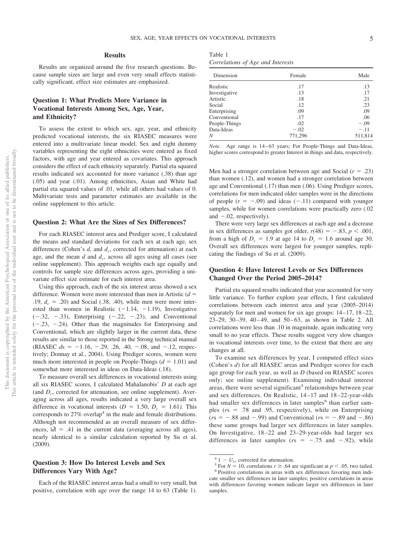#### **Results**

Results are organized around the five research questions. Because sample sizes are large and even very small effects statistically significant, effect size estimates are emphasized.

### **Question 1: What Predicts More Variance in Vocational Interests Among Sex, Age, Year, and Ethnicity?**

To assess the extent to which sex, age, year, and ethnicity predicted vocational interests, the six RIASEC measures were entered into a multivariate linear model. Sex and eight dummy variables representing the eight ethnicities were entered as fixed factors, with age and year entered as covariates. This approach considers the effect of each ethnicity separately. Partial eta squared results indicated sex accounted for more variance (.38) than age (.05) and year (.01). Among ethnicities, Asian and White had partial eta squared values of .01, while all others had values of 0. Multivariate tests and parameter estimates are available in the online supplement to this article.

#### **Question 2: What Are the Sizes of Sex Differences?**

For each RIASEC interest area and Prediger score, I calculated the means and standard deviations for each sex at each age, sex differences (Cohen's  $d$ , and  $d_c$ , corrected for attenuation) at each age, and the mean  $d$  and  $d_c$ , across all ages using all cases (see online supplement). This approach weights each age equally and controls for sample size differences across ages, providing a univariate effect size estimate for each interest area.

Using this approach, each of the six interest areas showed a sex difference. Women were more interested than men in Artistic  $(d =$  $.19, d_c = .20$  and Social (.38, .40), while men were more interested than women in Realistic  $(-1.14, -1.19)$ , Investigative  $(-.32, -.33)$ , Enterprising  $(-.22, -.23)$ , and Conventional  $(-.23, -.24)$ . Other than the magnitudes for Enterprising and Conventional, which are slightly larger in the current data, these results are similar to those reported in the Strong technical manual (RIASEC  $ds = -1.16, -0.29, 0.26, 0.40, -0.08,$  and  $-0.12$ , respectively; Donnay et al., 2004). Using Prediger scores, women were much more interested in people on People-Things  $(d = 1.01)$  and somewhat more interested in ideas on Data-Ideas (.18).

To measure overall sex differences in vocational interests using all six RIASEC scores, I calculated Mahalanobis' *D* at each age (and  $D_c$ , corrected for attenuation, see online supplement). Averaging across all ages, results indicated a very large overall sex difference in vocational interests ( $D = 1.50$ ,  $D_c = 1.61$ ). This corresponds to  $27\%$  overlap<sup>4</sup> in the male and female distributions. Although not recommended as an overall measure of sex differences,  $|\vec{d}| = .41$  in the current data (averaging across all ages), nearly identical to a similar calculation reported by Su et al. (2009).

#### **Question 3: How Do Interest Levels and Sex Differences Vary With Age?**

Each of the RIASEC interest areas had a small to very small, but positive, correlation with age over the range 14 to 63 (Table 1).

Table 1 *Correlations of Age and Interests*

| Dimension     | Female  | Male    |
|---------------|---------|---------|
| Realistic     | .17     | .13     |
| Investigative | .13     | .17     |
| Artistic      | .18     | .21     |
| Social        | .12     | .23     |
| Enterprising  | .09     | .09     |
| Conventional  | .17     | .06     |
| People-Things | .02     | $-.09$  |
| Data-Ideas    | $-.02$  | $-.11$  |
| N             | 771,296 | 511,814 |

*Note*. Age range is 14–63 years; For People-Things and Data-Ideas, higher scores correspond to greater Interest in things and data, respectively.

Men had a stronger correlation between age and Social  $(r = .23)$ than women (.12), and women had a stronger correlation between age and Conventional (.17) than men (.06). Using Prediger scores, correlations for men indicated older samples were in the directions of people  $(r = -.09)$  and ideas  $(-.11)$  compared with younger samples, while for women correlations were practically zero (.02 and  $-.02$ , respectively).

There were very large sex differences at each age and a decrease in sex differences as samples got older,  $r(48) = -.83$ ,  $p < .001$ , from a high of  $D_c = 1.9$  at age 14 to  $D_c = 1.6$  around age 30. Overall sex differences were largest for younger samples, replicating the findings of Su et al. (2009).

#### **Question 4: Have Interest Levels or Sex Differences Changed Over the Period 2005–2014?**

Partial eta squared results indicated that year accounted for very little variance. To further explore year effects, I first calculated correlations between each interest area and year (2005–2014) separately for men and women for six age groups: 14 –17, 18 –22, 23–29, 30 –39, 40 – 49, and 50 – 63, as shown in Table 2. All correlations were less than .10 in magnitude, again indicating very small to no year effects. These results suggest very slow changes in vocational interests over time, to the extent that there are any changes at all.

To examine sex differences by year, I computed effect sizes (Cohen's *d*) for all RIASEC areas and Prediger scores for each age group for each year, as well as *D* (based on RIASEC scores only; see online supplement). Examining individual interest areas, there were several significant<sup>5</sup> relationships between year and sex differences. On Realistic, 14 –17 and 18 –22-year-olds had smaller sex differences in later samples<sup>6</sup> than earlier samples ( $rs = .78$  and .95, respectively), while on Enterprising  $(rs = -.88 \text{ and } -.99)$  and Conventional  $(rs = -.89 \text{ and } -.86)$ these same groups had larger sex differences in later samples. On Investigative, 18 –22 and 23–29-year-olds had larger sex differences in later samples  $(rs = -.75 \text{ and } -.92)$ , while

 $^{4}$  1 –  $U_1$ , corrected for attenuation.<br><sup>5</sup> For *N* = 10, correlations *r* ≥ .64 a

<sup>&</sup>lt;sup>6</sup> Positive correlations in areas with sex differences favoring men indicate smaller sex differences in later samples; positive correlations in areas with differences favoring women indicate larger sex differences in later samples.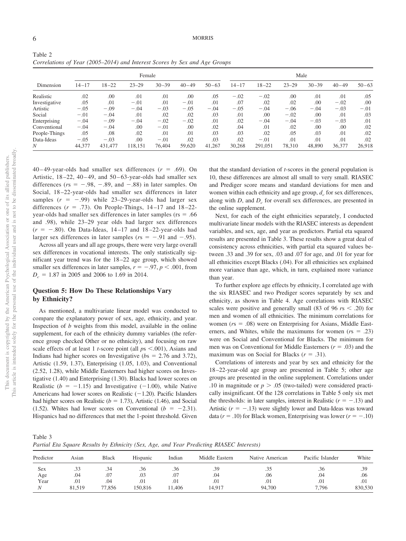Artistic  $-0.05$   $-0.09$   $-0.04$   $-0.03$   $-0.05$   $-0.04$   $-0.05$   $-0.04$   $-0.05$   $-0.04$   $-0.03$   $-0.01$ Social .01 .04 .01 .02 .02 .03 .01 .00 .02 .00 .01 .03 Enterprising −.04 −.09 −.04 −.02 −.02 .01 .02 −.04 −.04 −.03 .01 .01 Conventional .04 .04 .00 .01 .00 .02 .04 .01 .02 .00 .00 .02 People-Things .05 .08 .02 .01 .01 .03 .03 .02 .05 .03 .01 .02 01 .01 .01 .01 .02 .03 .02 .03 .02 .01 .01 .02 *N* 44,377 431,477 118,151 76,404 59,620 41,267 30,268 291,051 78,310 48,890 36,377 26,918

|                            | Correlations of Year (2005–2014) and Interest Scores by Sex and Age Groups |            |               |            |               |            |               |               |            |            |               |            |  |  |
|----------------------------|----------------------------------------------------------------------------|------------|---------------|------------|---------------|------------|---------------|---------------|------------|------------|---------------|------------|--|--|
|                            |                                                                            |            | Female        |            |               | Male       |               |               |            |            |               |            |  |  |
| Dimension                  | $14 - 17$                                                                  | $18 - 22$  | $23 - 29$     | $30 - 39$  | $40 - 49$     | $50 - 63$  | $14 - 17$     | $18 - 22$     | $23 - 29$  | $30 - 39$  | $40 - 49$     | $50 - 63$  |  |  |
| Realistic<br>Investigative | .02<br>.05                                                                 | .00<br>.01 | .01<br>$-.01$ | .01<br>.01 | .00<br>$-.01$ | .05<br>.01 | $-.02$<br>.07 | $-.02$<br>.02 | .00<br>.02 | .01<br>.00 | .01<br>$-.02$ | .05<br>.00 |  |  |

Table 2

 $40-49$ -year-olds had smaller sex differences  $(r = .69)$ . On Artistic, 18-22, 40-49, and 50-63-year-olds had smaller sex differences ( $rs = -.98, -.89, and -.88$ ) in later samples. On Social, 18 –22-year-olds had smaller sex differences in later samples  $(r = -.99)$  while 23–29-year-olds had larger sex differences  $(r = .73)$ . On People-Things,  $14-17$  and  $18-22$ year-olds had smaller sex differences in later samples ( $rs = .66$ ) and .98), while 23–29 year olds had larger sex differences  $(r = -.80)$ . On Data-Ideas,  $14-17$  and  $18-22$ -year-olds had larger sex differences in later samples ( $rs = -.91$  and  $-.95$ ).

Across all years and all age groups, there were very large overall sex differences in vocational interests. The only statistically significant year trend was for the 18 –22 age group, which showed smaller sex differences in later samples,  $r = -.97$ ,  $p < .001$ , from  $D_c = 1.87$  in 2005 and 2006 to 1.69 in 2014.

#### **Question 5: How Do These Relationships Vary by Ethnicity?**

As mentioned, a multivariate linear model was conducted to compare the explanatory power of sex, age, ethnicity, and year. Inspection of *b* weights from this model, available in the online supplement, for each of the ethnicity dummy variables (the reference group checked Other or no ethnicity), and focusing on raw scale effects of at least 1 *t*-score point (all  $ps < .001$ ), Asians and Indians had higher scores on Investigative ( $bs = 2.76$  and 3.72), Artistic (1.59, 1.37), Enterprising (1.05, 1.03), and Conventional (2.52, 1.28), while Middle Easterners had higher scores on Investigative (1.40) and Enterprising (1.30). Blacks had lower scores on Realistic ( $b = -1.15$ ) and Investigative (-1.00), while Native Americans had lower scores on Realistic  $(-1.20)$ . Pacific Islanders had higher scores on Realistic ( $b = 1.73$ ), Artistic (1.46), and Social (1.52). Whites had lower scores on Conventional  $(b = -2.31)$ . Hispanics had no differences that met the 1-point threshold. Given

that the standard deviation of *t*-scores in the general population is 10, these differences are almost all small to very small. RIASEC and Prediger score means and standard deviations for men and women within each ethnicity and age group,  $d_c$  for sex differences, along with *D*, and *D<sub>c</sub>* for overall sex differences, are presented in the online supplement.

Next, for each of the eight ethnicities separately, I conducted multivariate linear models with the RIASEC interests as dependent variables, and sex, age, and year as predictors. Partial eta squared results are presented in Table 3. These results show a great deal of consistency across ethnicities, with partial eta squared values between .33 and .39 for sex, .03 and .07 for age, and .01 for year for all ethnicities except Blacks (.04). For all ethnicities sex explained more variance than age, which, in turn, explained more variance than year.

To further explore age effects by ethnicity, I correlated age with the six RIASEC and two Prediger scores separately by sex and ethnicity, as shown in Table 4. Age correlations with RIASEC scales were positive and generally small  $(83 \text{ of } 96 \text{ rs } < .20)$  for men and women of all ethnicities. The minimum correlations for women ( $rs = .08$ ) were on Enterprising for Asians, Middle Easterners, and Whites, while the maximums for women  $(rs = .23)$ were on Social and Conventional for Blacks. The minimum for men was on Conventional for Middle Easterners ( $r = .03$ ) and the maximum was on Social for Blacks  $(r = .31)$ .

Correlations of interests and year by sex and ethnicity for the 18 –22-year-old age group are presented in Table 5; other age groups are presented in the online supplement. Correlations under .10 in magnitude or  $p > .05$  (two-tailed) were considered practically insignificant. Of the 128 correlations in Table 5 only six met the thresholds: in later samples, interest in Realistic  $(r = -13)$  and Artistic  $(r = -.13)$  were slightly lower and Data-Ideas was toward data ( $r = .10$ ) for Black women, Enterprising was lower ( $r = -.10$ )

Table 3 *Partial Eta Square Results by Ethnicity (Sex, Age, and Year Predicting RIASEC Interests)*

| Predictor | Asian  | <b>Black</b> | Hispanic | Indian | Middle Eastern | Native American | Pacific Islander | White   |
|-----------|--------|--------------|----------|--------|----------------|-----------------|------------------|---------|
| Sex       | .33    | .34          | .36      | .36    | .39            | .35             | .36              | .39     |
| Age       | .04    | .07          | .03      | .07    | .04            | .06             | .04              | .06     |
| Year      | .01    | .04          | .01      | .01    | .01            | .01             | .01              | .01     |
|           | 81.519 | 77,856       | 150.816  | 11.406 | 14.917         | 94,700          | 7,796            | 830,530 |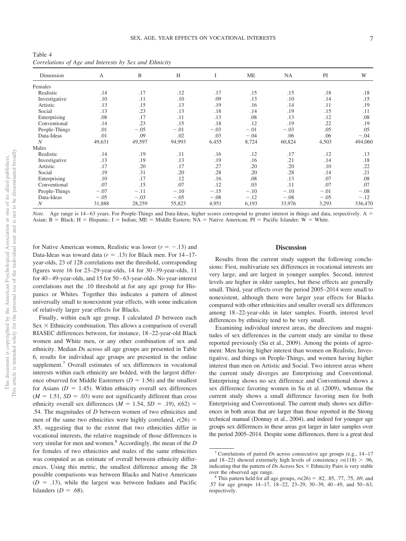Table 4 *Correlations of Age and Interests by Sex and Ethnicity*

| Dimension<br>А |        | B      | H      |        | <b>ME</b> | NA     | PI     | W       |
|----------------|--------|--------|--------|--------|-----------|--------|--------|---------|
| Females        |        |        |        |        |           |        |        |         |
| Realistic      | .14    | .17    | .12    | .17    | .15       | .15    | .18    | .18     |
| Investigative  | .10    | .11    | .10    | .09    | .13       | .10    | .14    | .15     |
| Artistic       | .13    | .15    | .13    | .19    | .16       | .14    | .11    | .19     |
| Social         | .13    | .23    | .13    | .18    | .14       | .19    | .15    | .11     |
| Enterprising   | .08    | .17    | .11    | .13    | .08       | .13    | .12    | .08     |
| Conventional   | .14    | .23    | .15    | .18    | .12       | .19    | .22    | .19     |
| People-Things  | .01    | $-.05$ | $-.01$ | $-.03$ | $-.01$    | $-.03$ | .05    | .05     |
| Data-Ideas     | .01    | .09    | .02    | .03    | $-.04$    | .06    | .06    | $-.04$  |
| N              | 49,631 | 49,597 | 94,993 | 6,455  | 8,724     | 60,824 | 4,503  | 494,060 |
| Males          |        |        |        |        |           |        |        |         |
| Realistic      | .14    | .19    | .11    | .16    | .12       | .17    | .12    | .13     |
| Investigative  | .13    | .19    | .13    | .19    | .16       | .21    | .14    | .18     |
| Artistic       | .17    | .20    | .17    | .27    | .20       | .20    | .10    | .22     |
| Social         | .19    | .31    | .20    | .28    | .20       | .28    | .14    | .21     |
| Enterprising   | .10    | .17    | .12    | .16    | .08       | .13    | .07    | .08     |
| Conventional   | .07    | .15    | .07    | .12    | .03       | .11    | .07    | .07     |
| People-Things  | $-.07$ | $-.11$ | $-.10$ | $-.15$ | $-.10$    | $-.10$ | $-.01$ | $-.08$  |
| Data-Ideas     | $-.05$ | $-.03$ | $-.05$ | $-.08$ | $-.12$    | $-.08$ | $-.05$ | $-.12$  |
| N              | 31,888 | 28,259 | 55,823 | 4,951  | 6,193     | 33,976 | 3,293  | 336,470 |

*Note*. Age range is 14–63 years. For People-Things and Data-Ideas, higher scores correspond to greater interest in things and data, respectively. A = Asian; B = Black; H = Hispanic; I = Indian; ME = Middle Eastern; NA = Native American; PI = Pacific Islander; W = White.

for Native American women, Realistic was lower  $(r = -.13)$  and Data-Ideas was toward data  $(r = .13)$  for Black men. For  $14-17$ year-olds, 23 of 128 correlations met the threshold, corresponding figures were 16 for 23–29-year-olds, 14 for 30 –39-year-olds, 11 for 40 – 49-year-olds, and 15 for 50 – 63-year-olds. No year-interest correlations met the .10 threshold at for any age group for Hispanics or Whites. Together this indicates a pattern of almost universally small to nonexistent year effects, with some indication of relatively larger year effects for Blacks.

Finally, within each age group, I calculated *D* between each  $Sex \times$  Ethnicity combination. This allows a comparison of overall RIASEC differences between, for instance, 18 –22-year-old Black women and White men, or any other combination of sex and ethnicity. Median *D*s across all age groups are presented in Table 6, results for individual age groups are presented in the online supplement.<sup>7</sup> Overall estimates of sex differences in vocational interests within each ethnicity are bolded, with the largest difference observed for Middle Easterners  $(D = 1.56)$  and the smallest for Asians  $(D = 1.45)$ . Within ethnicity overall sex differences  $(M = 1.51, SD = .03)$  were not significantly different than cross ethnicity overall sex differences ( $M = 1.54$ ,  $SD = .19$ ),  $t(62) =$ .54. The magnitudes of *D* between women of two ethnicities and men of the same two ethnicities were highly correlated,  $r(26)$  = .85, suggesting that to the extent that two ethnicities differ in vocational interests, the relative magnitude of those differences is very similar for men and women.8 Accordingly, the mean of the *D* for females of two ethnicities and males of the same ethnicities was computed as an estimate of overall between ethnicity differences. Using this metric, the smallest difference among the 28 possible comparisons was between Blacks and Native Americans  $(D = .13)$ , while the largest was between Indians and Pacific Islanders  $(D = .68)$ .

#### **Discussion**

Results from the current study support the following conclusions: First, multivariate sex differences in vocational interests are very large, and are largest in younger samples. Second, interest levels are higher in older samples, but these effects are generally small. Third, year effects over the period 2005–2014 were small to nonexistent, although there were larger year effects for Blacks compared with other ethnicities and smaller overall sex differences among 18 –22-year-olds in later samples. Fourth, interest level differences by ethnicity tend to be very small.

Examining individual interest areas, the directions and magnitudes of sex differences in the current study are similar to those reported previously (Su et al., 2009). Among the points of agreement: Men having higher interest than women on Realistic, Investigative, and things on People-Things, and women having higher interest than men on Artistic and Social. Two interest areas where the current study diverges are Enterprising and Conventional. Enterprising shows no sex difference and Conventional shows a sex difference favoring women in Su et al. (2009), whereas the current study shows a small difference favoring men for both Enterprising and Conventional. The current study shows sex differences in both areas that are larger than those reported in the Strong technical manual (Donnay et al., 2004), and indeed for younger age groups sex differences in these areas got larger in later samples over the period 2005–2014. Despite some differences, there is a great deal

<sup>7</sup> Correlations of paired *D*s across consecutive age groups (e.g., 14 –17 and  $18-22$ ) showed extremely high levels of consistency  $r_s(118) > .96$ , indicating that the pattern of *Ds* Across Sex  $\times$  Ethnicity Pairs is very stable

over the observed age range.<br><sup>8</sup> This pattern held for all age groups,  $r s(26) = .82, .85, .77, .75, .69,$  and .57 for age groups 14 –17, 18 –22, 23–29, 30 –39, 40 – 49, and 50 – 63, respectively.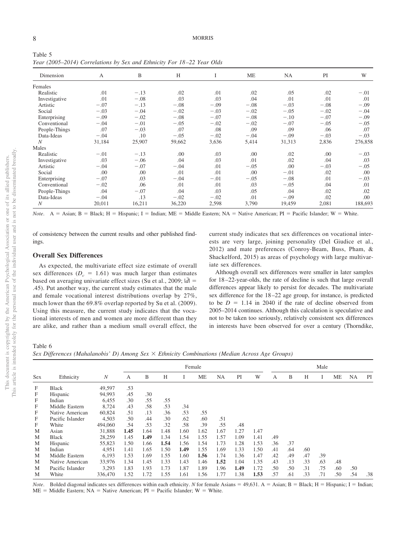| Table 5                                                                |  |
|------------------------------------------------------------------------|--|
| Year (2005–2014) Correlations by Sex and Ethnicity For 18–22 Year Olds |  |

| Dimension        | A      | B      | H      | I      | <b>ME</b> | NA.    | PI     | W       |
|------------------|--------|--------|--------|--------|-----------|--------|--------|---------|
| Females          |        |        |        |        |           |        |        |         |
| Realistic        | .01    | $-.13$ | .02    | .01    | .02       | .05    | .02    | $-.01$  |
| Investigative    | .01    | $-.08$ | .03    | .03    | .04       | .01    | .01    | .01     |
| Artistic         | $-.07$ | $-.13$ | $-.08$ | $-.09$ | $-.08$    | $-.03$ | $-.08$ | $-.09$  |
| Social           | $-.03$ | $-.04$ | $-.02$ | $-.03$ | $-.02$    | $-.05$ | $-.02$ | $-.04$  |
| Enterprising     | $-.09$ | $-.02$ | $-.08$ | $-.07$ | $-.08$    | $-.10$ | $-.07$ | $-.09$  |
| Conventional     | $-.04$ | $-.01$ | $-.05$ | $-.02$ | $-.02$    | $-.07$ | $-.05$ | $-.05$  |
| People-Things    | .07    | $-.03$ | .07    | .08    | .09       | .09    | .06    | .07     |
| Data-Ideas       | $-.04$ | .10    | $-.05$ | $-.02$ | $-.04$    | $-.09$ | $-.03$ | $-.03$  |
| $\boldsymbol{N}$ | 31,184 | 25,907 | 59,662 | 3,636  | 5,414     | 31,313 | 2,836  | 276,858 |
| Males            |        |        |        |        |           |        |        |         |
| Realistic        | $-.01$ | $-.13$ | .00    | .03    | .00       | .02    | .00.   | $-.03$  |
| Investigative    | .03    | $-.06$ | .04    | .03    | .01       | .02    | .04    | .03     |
| Artistic         | $-.04$ | $-.07$ | $-.04$ | .01    | $-.05$    | .00    | $-.03$ | $-.05$  |
| Social           | .00    | .00.   | .01    | .01    | .00       | $-.01$ | .02    | .00     |
| Enterprising     | $-.07$ | .03    | $-.04$ | $-.01$ | $-.05$    | $-.08$ | .01    | $-.03$  |
| Conventional     | $-.02$ | .06    | .01    | .01    | .03       | $-.05$ | .04    | .01     |
| People-Things    | .04    | $-.07$ | .04    | .03    | .05       | .04    | .02    | .02     |
| Data-Ideas       | $-.04$ | .13    | $-.02$ | $-.02$ | .01       | $-.09$ | .02    | .00     |
| N                | 20,011 | 16,211 | 36,220 | 2,598  | 3,790     | 19,459 | 2,081  | 188,693 |

Note. A = Asian; B = Black; H = Hispanic; I = Indian; ME = Middle Eastern; NA = Native American; PI = Pacific Islander; W = White.

of consistency between the current results and other published findings.

#### **Overall Sex Differences**

As expected, the multivariate effect size estimate of overall sex differences ( $D_c = 1.61$ ) was much larger than estimates based on averaging univariate effect sizes (Su et al., 2009; | $d$ | = .45). Put another way, the current study estimates that the male and female vocational interest distributions overlap by 27%, much lower than the 69.8% overlap reported by Su et al. (2009). Using this measure, the current study indicates that the vocational interests of men and women are more different than they are alike, and rather than a medium small overall effect, the current study indicates that sex differences on vocational interests are very large, joining personality (Del Giudice et al., 2012) and mate preferences (Conroy-Beam, Buss, Pham, & Shackelford, 2015) as areas of psychology with large multivariate sex differences.

Although overall sex differences were smaller in later samples for 18 –22-year-olds, the rate of decline is such that large overall differences appear likely to persist for decades. The multivariate sex difference for the 18 –22 age group, for instance, is predicted to be  $D = 1.14$  in 2040 if the rate of decline observed from 2005–2014 continues. Although this calculation is speculative and not to be taken too seriously, relatively consistent sex differences in interests have been observed for over a century (Thorndike,

Table 6

*Sex Differences (Mahalanobis' D) Among Sex Ethnicity Combinations (Median Across Age Groups)*

|     |                  |                  |      | Female |      |      |      |           |      |      |     |     | Male |     |     |     |     |  |  |
|-----|------------------|------------------|------|--------|------|------|------|-----------|------|------|-----|-----|------|-----|-----|-----|-----|--|--|
| Sex | Ethnicity        | $\boldsymbol{N}$ | A    | B      | H    | т.   | ME   | <b>NA</b> | PI   | W    | А   | B   | Н    |     | МE  | NA  | PI  |  |  |
| F   | <b>Black</b>     | 49,597           | .53  |        |      |      |      |           |      |      |     |     |      |     |     |     |     |  |  |
| F   | Hispanic         | 94,993           | .45  | .30    |      |      |      |           |      |      |     |     |      |     |     |     |     |  |  |
| F   | Indian           | 6,455            | .30  | .55    | .55  |      |      |           |      |      |     |     |      |     |     |     |     |  |  |
| F   | Middle Eastern   | 8,724            | .43  | .58    | .53  | .34  |      |           |      |      |     |     |      |     |     |     |     |  |  |
| F   | Native American  | 60,824           | .51  | .13    | .36  | .53  | .55  |           |      |      |     |     |      |     |     |     |     |  |  |
| F   | Pacific Islander | 4,503            | .50  | .44    | .30  | .62  | .60  | .51       |      |      |     |     |      |     |     |     |     |  |  |
| F   | White            | 494,060          | .54  | .53    | .32  | .58  | .39  | .55       | .48  |      |     |     |      |     |     |     |     |  |  |
| M   | Asian            | 31,888           | 1.45 | 1.64   | 1.48 | 1.60 | 1.62 | 1.67      | 1.27 | 1.47 |     |     |      |     |     |     |     |  |  |
| M   | Black            | 28,259           | 1.45 | 1.49   | 1.34 | 1.54 | 1.55 | 1.57      | 1.09 | 1.41 | .49 |     |      |     |     |     |     |  |  |
| M   | Hispanic         | 55,823           | 1.50 | 1.66   | 1.54 | 1.56 | 1.54 | 1.73      | 1.28 | 1.53 | .36 | .37 |      |     |     |     |     |  |  |
| M   | Indian           | 4,951            | 1.41 | 1.65   | 1.50 | 1.49 | 1.55 | 1.69      | 1.33 | 1.50 | .41 | .64 | .60  |     |     |     |     |  |  |
| M   | Middle Eastern   | 6,193            | 1.53 | 1.69   | 1.55 | 1.60 | 1.56 | 1.74      | l.36 | 1.47 | .42 | .49 | .47  | .39 |     |     |     |  |  |
| M   | Native American  | 33,976           | 1.34 | 1.45   | 1.33 | 1.43 | 1.46 | 1.52      | 1.04 | 1.35 | .43 | .13 | .33  | .63 | .48 |     |     |  |  |
| M   | Pacific Islander | 3,293            | 1.83 | 1.93   | 1.73 | 1.87 | 1.89 | 1.96      | 1.49 | 1.72 | .50 | .50 | .31  | .75 | .60 | .50 |     |  |  |
| M   | White            | 336,470          | 1.52 | 1.72   | 1.55 | 1.61 | 1.56 | 1.77      | 1.38 | 1.53 | .57 | .61 | .33  | .71 | .50 | .54 | .38 |  |  |

*Note*. Bolded diagonal indicates sex differences within each ethnicity. *N* for female Asians = 49,631. A = Asian; B = Black; H = Hispanic; I = Indian;  $ME = Middle Eastern$ ;  $NA = Native American$ ;  $PI = Pacific Islander$ ;  $W = White$ .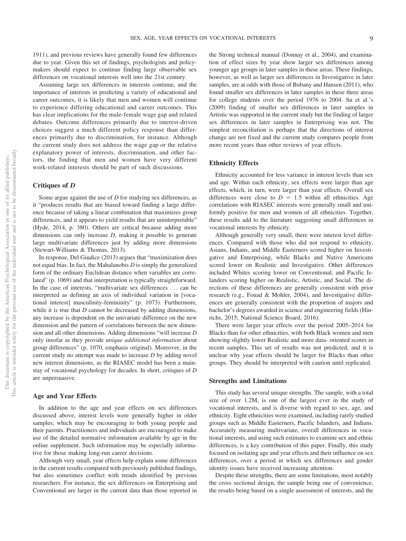1911), and previous reviews have generally found few differences due to year. Given this set of findings, psychologists and policymakers should expect to continue finding large observable sex differences on vocational interests well into the 21st century.

Assuming large sex differences in interests continue, and the importance of interests in predicting a variety of educational and career outcomes, it is likely that men and women will continue to experience differing educational and career outcomes. This has clear implications for the male-female wage gap and related debates. Outcome differences primarily due to interest-driven choices suggest a much different policy response than differences primarily due to discrimination, for instance. Although the current study does not address the wage gap or the relative explanatory power of interests, discrimination, and other factors, the finding that men and women have very different work-related interests should be part of such discussions.

#### **Critiques of** *D*

Some argue against the use of *D* for studying sex differences, as it "produces results that are biased toward finding a large difference because of taking a linear combination that maximizes group differences, and it appears to yield results that are uninterpretable" (Hyde, 2014, p. 380). Others are critical because adding more dimensions can only increase *D*, making it possible to generate large multivariate differences just by adding more dimensions (Stewart-Williams & Thomas, 2013).

In response, Del Giudice (2013) argues that "maximization does not equal bias. In fact, the Mahalanobis *D* is simply the generalized form of the ordinary Euclidean distance when variables are correlated" (p. 1069) and that interpretation is typically straightforward. In the case of interests, "multivariate sex differences . . . can be interpreted as defining an axis of individual variation in [vocational interest] masculinity-femininity" (p. 1073). Furthermore, while it is true that *D* cannot be decreased by adding dimensions, any increase is dependent on the univariate difference on the new dimension and the pattern of correlations between the new dimension and all other dimensions. Adding dimensions "will increase *D* only insofar as they provide *unique additional information* about group differences" (p. 1070, emphasis original). Moreover, in the current study no attempt was made to increase *D* by adding novel new interest dimensions, as the RIASEC model has been a mainstay of vocational psychology for decades. In short, critiques of *D* are unpersuasive.

#### **Age and Year Effects**

In addition to the age and year effects on sex differences discussed above, interest levels were generally higher in older samples, which may be encouraging to both young people and their parents. Practitioners and individuals are encouraged to make use of the detailed normative information available by age in the online supplement. Such information may be especially informative for those making long-run career decisions.

Although very small, year effects help explain some differences in the current results compared with previously published findings, but also sometimes conflict with trends identified by previous researchers. For instance, the sex differences on Enterprising and Conventional are larger in the current data than those reported in

the Strong technical manual (Donnay et al., 2004), and examination of effect sizes by year show larger sex differences among younger age groups in later samples in these areas. These findings, however, as well as larger sex differences in Investigative in later samples, are at odds with those of Bubany and Hansen (2011), who found smaller sex differences in later samples in these three areas for college students over the period 1976 to 2004. Su et al.'s (2009) finding of smaller sex differences in later samples in Artistic was supported in the current study but the finding of larger sex differences in later samples in Enterprising was not. The simplest reconciliation is perhaps that the directions of interest change are not fixed and the current study compares people from more recent years than other reviews of year effects.

#### **Ethnicity Effects**

Ethnicity accounted for less variance in interest levels than sex and age. Within each ethnicity, sex effects were larger than age effects, which, in turn, were larger than year effects. Overall sex differences were close to  $D = 1.5$  within all ethnicities. Age correlations with RIASEC interests were generally small and uniformly positive for men and women of all ethnicities. Together, these results add to the literature suggesting small differences in vocational interests by ethnicity.

Although generally very small, there were interest level differences. Compared with those who did not respond to ethnicity, Asians, Indians, and Middle Easterners scored higher on Investigative and Enterprising, while Blacks and Native Americans scored lower on Realistic and Investigative. Other differences included Whites scoring lower on Conventional, and Pacific Islanders scoring higher on Realistic, Artistic, and Social. The directions of these differences are generally consistent with prior research (e.g., Fouad & Mohler, 2004), and Investigative differences are generally consistent with the proportion of majors and bachelor's degrees awarded in science and engineering fields (Hinrichs, 2015; National Science Board, 2016).

There were larger year effects over the period 2005–2014 for Blacks than for other ethnicities, with both Black women and men showing slightly lower Realistic and more data- oriented scores in recent samples. This set of results was not predicted, and it is unclear why year effects should be larger for Blacks than other groups. They should be interpreted with caution until replicated.

#### **Strengths and Limitations**

This study has several unique strengths. The sample, with a total size of over 1.2M, is one of the largest ever in the study of vocational interests, and is diverse with regard to sex, age, and ethnicity. Eight ethnicities were examined, including rarely studied groups such as Middle Easterners, Pacific Islanders, and Indians. Accurately measuring multivariate, overall differences in vocational interests, and using such estimates to examine sex and ethnic differences, is a key contribution of this paper. Finally, this study focused on isolating age and year effects and their influence on sex differences, over a period in which sex differences and gender identity issues have received increasing attention.

Despite these strengths, there are some limitations, most notably the cross sectional design, the sample being one of convenience, the results being based on a single assessment of interests, and the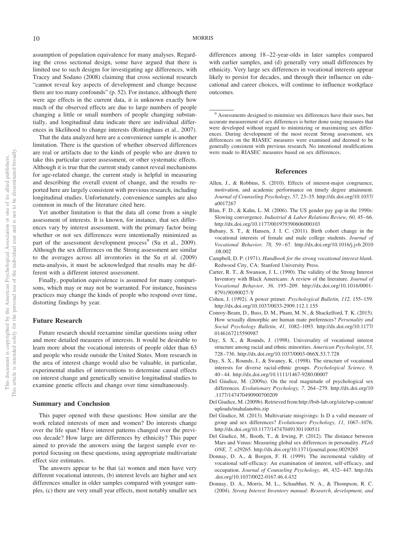assumption of population equivalence for many analyses. Regarding the cross sectional design, some have argued that there is limited use to such designs for investigating age differences, with Tracey and Sodano (2008) claiming that cross sectional research "cannot reveal key aspects of development and change because there are too many confounds" (p. 52). For instance, although there were age effects in the current data, it is unknown exactly how much of the observed effects are due to large numbers of people changing a little or small numbers of people changing substantially, and longitudinal data indicate there are individual differences in likelihood to change interests (Rottinghaus et al., 2007).

That the data analyzed here are a convenience sample is another limitation. There is the question of whether observed differences are real or artifacts due to the kinds of people who are drawn to take this particular career assessment, or other systematic effects. Although it is true that the current study cannot reveal mechanisms for age-related change, the current study is helpful in measuring and describing the overall extent of change, and the results reported here are largely consistent with previous research, including longitudinal studies. Unfortunately, convenience samples are also common in much of the literature cited here.

Yet another limitation is that the data all come from a single assessment of interests. It is known, for instance, that sex differences vary by interest assessment, with the primary factor being whether or not sex differences were intentionally minimized as part of the assessment development process<sup>9</sup> (Su et al., 2009). Although the sex differences on the Strong assessment are similar to the averages across all inventories in the Su et al. (2009) meta-analysis, it must be acknowledged that results may be different with a different interest assessment.

Finally, population equivalence is assumed for many comparisons, which may or may not be warranted. For instance, business practices may change the kinds of people who respond over time, distorting findings by year.

#### **Future Research**

Future research should reexamine similar questions using other and more detailed measures of interests. It would be desirable to learn more about the vocational interests of people older than 63 and people who reside outside the United States. More research in the area of interest change would also be valuable, in particular, experimental studies of interventions to determine causal effects on interest change and genetically sensitive longitudinal studies to examine genetic effects and change over time simultaneously.

#### **Summary and Conclusion**

This paper opened with these questions: How similar are the work related interests of men and women? Do interests change over the life span? Have interest patterns changed over the previous decade? How large are differences by ethnicity? This paper aimed to provide the answers using the largest sample ever reported focusing on these questions, using appropriate multivariate effect size estimates.

The answers appear to be that (a) women and men have very different vocational interests, (b) interest levels are higher and sex differences smaller in older samples compared with younger samples, (c) there are very small year effects, most notably smaller sex

differences among 18 –22-year-olds in later samples compared with earlier samples, and (d) generally very small differences by ethnicity. Very large sex differences in vocational interests appear likely to persist for decades, and through their influence on educational and career choices, will continue to influence workplace outcomes.

<sup>9</sup> Assessments designed to minimize sex differences have their uses, but accurate measurement of sex differences is better done using measures that were developed without regard to minimizing or maximizing sex differences. During development of the most recent Strong assessment, sex differences on the RIASEC measures were examined and deemed to be generally consistent with previous research. No intentional modifications were made to RIASEC measures based on sex differences.

#### **References**

- Allen, J., & Robbins, S. (2010). Effects of interest-major congruence, motivation, and academic performance on timely degree attainment. *Journal of Counseling Psychology, 57,* 23–35. http://dx.doi.org/10.1037/ a0017267
- Blau, F. D., & Kahn, L. M. (2006). The US gender pay gap in the 1990s: Slowing convergence. *Industrial & Labor Relations Review, 60, 45-66*. http://dx.doi.org/10.1177/001979390606000103
- Bubany, S. T., & Hansen, J. I. C. (2011). Birth cohort change in the vocational interests of female and male college students. *Journal of Vocational Behavior, 78,* 59 – 67. http://dx.doi.org/10.1016/j.jvb.2010 .08.002
- Campbell, D. P. (1971). *Handbook for the strong vocational interest blank*. Redwood City, CA: Stanford University Press.
- Carter, R. T., & Swanson, J. L. (1990). The validity of the Strong Interest Inventory with Black Americans: A review of the literature. *Journal of Vocational Behavior, 36,* 195–209. http://dx.doi.org/10.1016/0001- 8791(90)90027-Y
- Cohen, J. (1992). A power primer. *Psychological Bulletin, 112,* 155–159. http://dx.doi.org/10.1037/0033-2909.112.1.155
- Conroy-Beam, D., Buss, D. M., Pham, M. N., & Shackelford, T. K. (2015). How sexually dimorphic are human mate preferences? *Personality and Social Psychology Bulletin, 41,* 1082–1093. http://dx.doi.org/10.1177/ 0146167215590987
- Day, S. X., & Rounds, J. (1998). Universality of vocational interest structure among racial and ethnic minorities. *American Psychologist, 53,* 728 –736. http://dx.doi.org/10.1037/0003-066X.53.7.728
- Day, S. X., Rounds, J., & Swaney, K. (1998). The structure of vocational interests for diverse racial-ethnic groups. *Psychological Science, 9,* 40 – 44. http://dx.doi.org/10.1111/1467-9280.00007
- Del Giudice, M. (2009a). On the real magnitude of psychological sex differences. *Evolutionary Psychology, 7,* 264 –279. http://dx.doi.org/10 .1177/147470490900700209
- Del Giudice, M. (2009b). Retrieved from http://bsb-lab.org/site/wp-content/ uploads/mahalanobis.zip
- Del Giudice, M. (2013). Multivariate misgivings: Is D a valid measure of group and sex differences? *Evolutionary Psychology, 11,* 1067–1076. http://dx.doi.org/10.1177/147470491301100511
- Del Giudice, M., Booth, T., & Irwing, P. (2012). The distance between Mars and Venus: Measuring global sex differences in personality. *PLoS ONE, 7,* e29265. http://dx.doi.org/10.1371/journal.pone.0029265
- Donnay, D. A., & Borgen, F. H. (1999). The incremental validity of vocational self-efficacy: An examination of interest, self-efficacy, and occupation. *Journal of Counseling Psychology, 46, 432-447*. http://dx .doi.org/10.1037/0022-0167.46.4.432
- Donnay, D. A., Morris, M. L., Schaubhut, N. A., & Thompson, R. C. (2004). *Strong Interest Inventory manual: Research, development, and*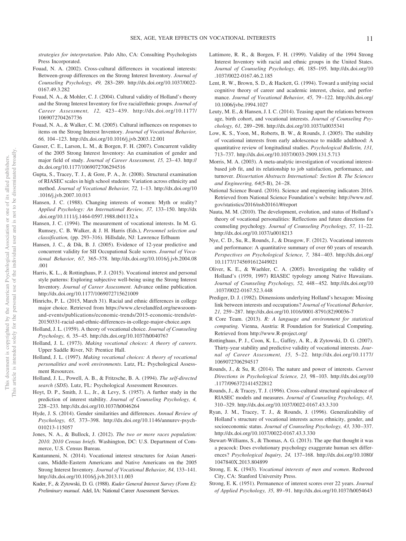*strategies for interpretation*. Palo Alto, CA: Consulting Psychologists Press Incorporated.

- Fouad, N. A. (2002). Cross-cultural differences in vocational interests: Between-group differences on the Strong Interest Inventory. *Journal of Counseling Psychology, 49,* 283–289. http://dx.doi.org/10.1037/0022- 0167.49.3.282
- Fouad, N. A., & Mohler, C. J. (2004). Cultural validity of Holland's theory and the Strong Interest Inventory for five racial/ethnic groups. *Journal of Career Assessment, 12,* 423– 439. http://dx.doi.org/10.1177/ 1069072704267736
- Fouad, N. A., & Walker, C. M. (2005). Cultural influences on responses to items on the Strong Interest Inventory. *Journal of Vocational Behavior, 66,* 104 –123. http://dx.doi.org/10.1016/j.jvb.2003.12.001
- Gasser, C. E., Larson, L. M., & Borgen, F. H. (2007). Concurrent validity of the 2005 Strong Interest Inventory: An examination of gender and major field of study. *Journal of Career Assessment, 15,* 23– 43. http:// dx.doi.org/10.1177/1069072706294516
- Gupta, S., Tracey, T. J., & Gore, P. A., Jr. (2008). Structural examination of RIASEC scales in high school students: Variation across ethnicity and method. *Journal of Vocational Behavior, 72,* 1–13. http://dx.doi.org/10 .1016/j.jvb.2007.10.013
- Hansen, J. C. (1988). Changing interests of women: Myth or reality? *Applied Psychology: An International Review, 37,* 133–150. http://dx .doi.org/10.1111/j.1464-0597.1988.tb01132.x
- Hansen, J. C. (1994). The measurement of vocational interests. In M. G. Rumsey, C. B. Walker, & J. H. Harris (Eds.), *Personnel selection and classification,* (pp. 293–316). Hillsdale, NJ: Lawrence Erlbaum
- Hansen, J. C., & Dik, B. J. (2005). Evidence of 12-year predictive and concurrent validity for SII Occupational Scale scores. *Journal of Vocational Behavior, 67,* 365–378. http://dx.doi.org/10.1016/j.jvb.2004.08 .001
- Harris, K. L., & Rottinghaus, P. J. (2015). Vocational interest and personal style patterns: Exploring subjective well-being using the Strong Interest Inventory. *Journal of Career Assessment*. Advance online publication. http://dx.doi.org/10.1177/1069072715621009
- Hinrichs, P. L. (2015, March 31). Racial and ethnic differences in college major choice. Retrieved from https://www.clevelandfed.org/newsroomand-events/publications/economic-trends/2015-economic-trends/et-20150331-racial-and-ethnic-differences-in-college-major-choice.aspx
- Holland, J. L. (1959). A theory of vocational choice. *Journal of Counseling Psychology, 6,* 35– 45. http://dx.doi.org/10.1037/h0040767
- Holland, J. L. (1973). *Making vocational choices: A theory of careers*. Upper Saddle River, NJ: Prentice Hall.
- Holland, J. L. (1997). *Making vocational choices: A theory of vocational personalities and work environments*. Lutz, FL: Psychological Assessment Resources.
- Holland, J. L., Powell, A. B., & Fritzsche, B. A. (1994). *The self-directed search (SDS*). Lutz, FL: Psychological Assessment Resources.
- Hoyt, D. P., Smith, J. L., Jr., & Levy, S. (1957). A further study in the prediction of interest stability. *Journal of Counseling Psychology, 4,* 228 –233. http://dx.doi.org/10.1037/h0046264
- Hyde, J. S. (2014). Gender similarities and differences. *Annual Review of Psychology, 65,* 373–398. http://dx.doi.org/10.1146/annurev-psych-010213-115057
- Jones, N. A., & Bullock, J. (2012). *The two or more races population: 2010. 2010 Census briefs*. Washington, DC: U.S. Department of Commerce, U.S. Census Bureau.
- Kantamneni, N. (2014). Vocational interest structures for Asian Americans, Middle-Eastern Americans and Native Americans on the 2005 Strong Interest Inventory. *Journal of Vocational Behavior, 84,* 133–141. http://dx.doi.org/10.1016/j.jvb.2013.11.003
- Kuder, F., & Zytowski, D. G. (1988). *Kuder General Interest Survey (Form E): Preliminary manual*. Adel, IA: National Career Assessment Services.
- Lattimore, R. R., & Borgen, F. H. (1999). Validity of the 1994 Strong Interest Inventory with racial and ethnic groups in the United States. *Journal of Counseling Psychology, 46,* 185–195. http://dx.doi.org/10 .1037/0022-0167.46.2.185
- Lent, R. W., Brown, S. D., & Hackett, G. (1994). Toward a unifying social cognitive theory of career and academic interest, choice, and performance. *Journal of Vocational Behavior, 45,* 79 –122. http://dx.doi.org/ 10.1006/jvbe.1994.1027
- Leuty, M. E., & Hansen, J. I. C. (2014). Teasing apart the relations between age, birth cohort, and vocational interests. *Journal of Counseling Psychology, 61,* 289 –298. http://dx.doi.org/10.1037/a0035341
- Low, K. S., Yoon, M., Roberts, B. W., & Rounds, J. (2005). The stability of vocational interests from early adolescence to middle adulthood: A quantitative review of longitudinal studies. *Psychological Bulletin, 131,* 713–737. http://dx.doi.org/10.1037/0033-2909.131.5.713
- Morris, M. A. (2003). A meta-analytic investigation of vocational interestbased job fit, and its relationship to job satisfaction, performance, and turnover. *Dissertation Abstracts International: Section B. The Sciences and Engineering, 64*(5-B), 24 –28.
- National Science Board. (2016). Science and engineering indicators 2016. Retrieved from National Science Foundation's website: http://www.nsf. gov/statistics/2016/nsb20161/#/report
- Nauta, M. M. (2010). The development, evolution, and status of Holland's theory of vocational personalities: Reflections and future directions for counseling psychology. *Journal of Counseling Psychology, 57,* 11–22. http://dx.doi.org/10.1037/a0018213
- Nye, C. D., Su, R., Rounds, J., & Drasgow, F. (2012). Vocational interests and performance: A quantitative summary of over 60 years of research. *Perspectives on Psychological Science, 7,* 384 – 403. http://dx.doi.org/ 10.1177/1745691612449021
- Oliver, K. E., & Waehler, C. A. (2005). Investigating the validity of Holland's (1959, 1997) RIASEC typology among Native Hawaiians. *Journal of Counseling Psychology, 52,* 448 – 452. http://dx.doi.org/10 .1037/0022-0167.52.3.448
- Prediger, D. J. (1982). Dimensions underlying Holland's hexagon: Missing link between interests and occupations? *Journal of Vocational Behavior, 21,* 259 –287. http://dx.doi.org/10.1016/0001-8791(82)90036-7
- R Core Team. (2013). *R: A language and environment for statistical computing*. Vienna, Austria: R Foundation for Statistical Computing. Retrieved from http://www.R-project.org/
- Rottinghaus, P. J., Coon, K. L., Gaffey, A. R., & Zytowski, D. G. (2007). Thirty-year stability and predictive validity of vocational interests. *Journal of Career Assessment, 15,* 5–22. http://dx.doi.org/10.1177/ 1069072706294517
- Rounds, J., & Su, R. (2014). The nature and power of interests. *Current Directions in Psychological Science, 23,* 98 –103. http://dx.doi.org/10 .1177/0963721414522812
- Rounds, J., & Tracey, T. J. (1996). Cross-cultural structural equivalence of RIASEC models and measures. *Journal of Counseling Psychology, 43,* 310 –329. http://dx.doi.org/10.1037/0022-0167.43.3.310
- Ryan, J. M., Tracey, T. J., & Rounds, J. (1996). Generalizability of Holland's structure of vocational interests across ethnicity, gender, and socioeconomic status. *Journal of Counseling Psychology, 43,* 330 –337. http://dx.doi.org/10.1037/0022-0167.43.3.330
- Stewart-Williams, S., & Thomas, A. G. (2013). The ape that thought it was a peacock: Does evolutionary psychology exaggerate human sex differences? *Psychological Inquiry, 24,* 137–168. http://dx.doi.org/10.1080/ 1047840X.2013.804899
- Strong, E. K. (1943). *Vocational interests of men and women*. Redwood City, CA: Stanford University Press.
- Strong, E. K. (1951). Permanence of interest scores over 22 years. *Journal of Applied Psychology, 35,* 89 –91. http://dx.doi.org/10.1037/h0054643